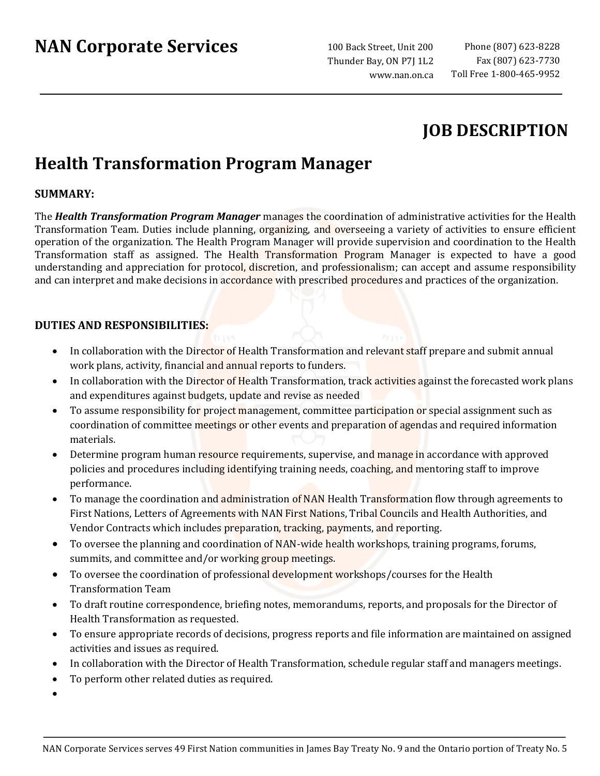# **NAN Corporate Services**

100 Back Street, Unit 200 Thunder Bay, ON P7J 1L2 www.nan.on.ca

## **JOB DESCRIPTION**

## **Health Transformation Program Manager**

### **SUMMARY:**

The *Health Transformation Program Manager* manages the coordination of administrative activities for the Health Transformation Team. Duties include planning, organizing, and overseeing a variety of activities to ensure efficient operation of the organization. The Health Program Manager will provide supervision and coordination to the Health Transformation staff as assigned. The Health Transformation Program Manager is expected to have a good understanding and appreciation for protocol, discretion, and professionalism; can accept and assume responsibility and can interpret and make decisions in accordance with prescribed procedures and practices of the organization.

### **DUTIES AND RESPONSIBILITIES:**

- In collaboration with the Director of Health Transformation and relevant staff prepare and submit annual work plans, activity, financial and annual reports to funders.
- In collaboration with the Director of Health Transformation, track activities against the forecasted work plans and expenditures against budgets, update and revise as needed
- To assume responsibility for project management, committee participation or special assignment such as coordination of committee meetings or other events and preparation of agendas and required information materials.
- Determine program human resource requirements, supervise, and manage in accordance with approved policies and procedures including identifying training needs, coaching, and mentoring staff to improve performance.
- To manage the coordination and administration of NAN Health Transformation flow through agreements to First Nations, Letters of Agreements with NAN First Nations, Tribal Councils and Health Authorities, and Vendor Contracts which includes preparation, tracking, payments, and reporting.
- To oversee the planning and coordination of NAN-wide health workshops, training programs, forums, summits, and committee and/or working group meetings.
- To oversee the coordination of professional development workshops/courses for the Health Transformation Team
- To draft routine correspondence, briefing notes, memorandums, reports, and proposals for the Director of Health Transformation as requested.
- To ensure appropriate records of decisions, progress reports and file information are maintained on assigned activities and issues as required.
- In collaboration with the Director of Health Transformation, schedule regular staff and managers meetings.
- To perform other related duties as required.
- •